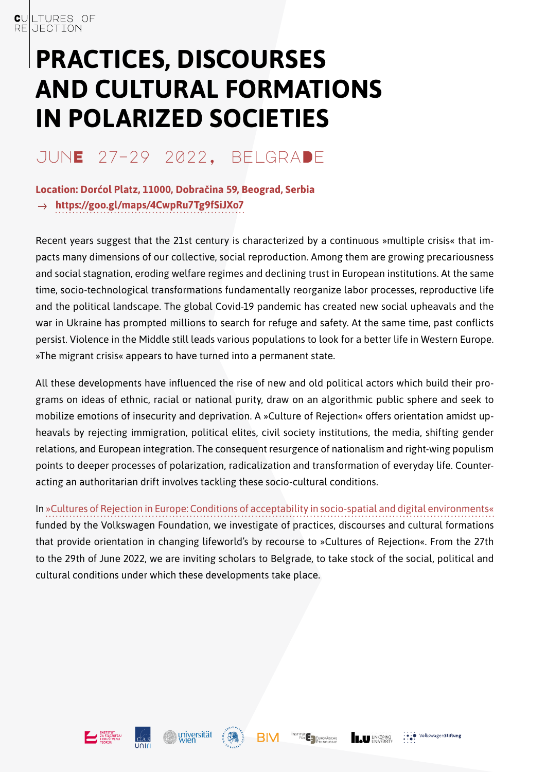# **PRACTICES, DISCOURSES AND CULTURAL FORMATIONS IN POLARIZED SOCIETIES**

# junE 27–29 2022, belgraDe

#### **Location: Dorćol Platz, 11000, Dobračina 59, Beograd, Serbia <https://goo.gl/maps/4CwpRu7Tg9fSiJXo7>**  $\rightarrow$

Recent years suggest that the 21st century is characterized by a continuous »multiple crisis« that impacts many dimensions of our collective, social reproduction. Among them are growing precariousness and social stagnation, eroding welfare regimes and declining trust in European institutions. At the same time, socio-technological transformations fundamentally reorganize labor processes, reproductive life and the political landscape. The global Covid-19 pandemic has created new social upheavals and the war in Ukraine has prompted millions to search for refuge and safety. At the same time, past conflicts persist. Violence in the Middle still leads various populations to look for a better life in Western Europe. »The migrant crisis« appears to have turned into a permanent state.

All these developments have influenced the rise of new and old political actors which build their programs on ideas of ethnic, racial or national purity, draw on an algorithmic public sphere and seek to mobilize emotions of insecurity and deprivation. A »Culture of Rejection« offers orientation amidst upheavals by rejecting immigration, political elites, civil society institutions, the media, shifting gender relations, and European integration. The consequent resurgence of nationalism and right-wing populism points to deeper processes of polarization, radicalization and transformation of everyday life. Counteracting an authoritarian drift involves tackling these socio-cultural conditions.

In [»Cultures of Rejection in Europe: Conditions of acceptability in socio-spatial and digital environments«](https://culturesofrejection.net/) funded by the Volkswagen Foundation, we investigate of practices, discourses and cultural formations that provide orientation in changing lifeworld's by recourse to »Cultures of Rejection«. From the 27th to the 29th of June 2022, we are inviting scholars to Belgrade, to take stock of the social, political and cultural conditions under which these developments take place.







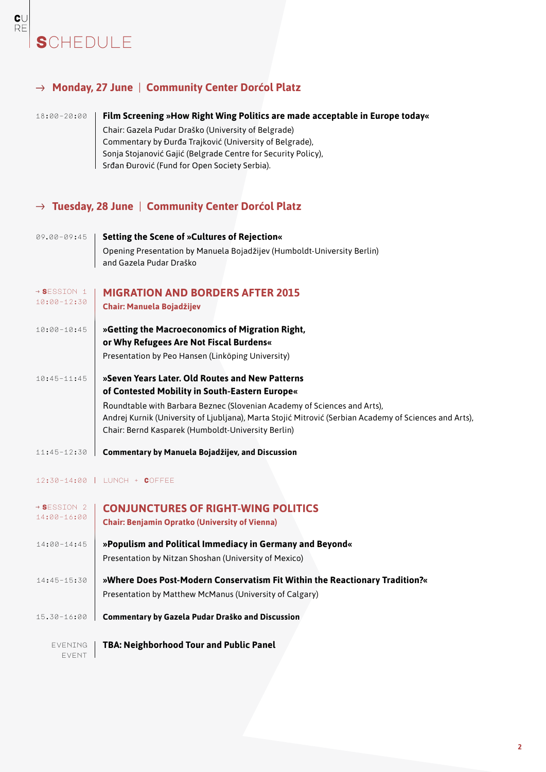# **SCHEDULE**

### **Monday, 27 June** | **Community Center Dorćol Platz**

 $\frac{\mathbf{C}}{\mathsf{RE}}$ 

### 18:00–20:00 **Film Screening »How Right Wing Politics are made acceptable in Europe today«**

Chair: Gazela Pudar Draško (University of Belgrade) Commentary by Đurđa Trajković (University of Belgrade), Sonja Stojanović Gajić (Belgrade Centre for Security Policy), Srđan Đurović (Fund for Open Society Serbia).

### **Tuesday, 28 June** | **Community Center Dorćol Platz**

| 09.00-09:45                            | Setting the Scene of »Cultures of Rejection«<br>Opening Presentation by Manuela Bojadžijev (Humboldt-University Berlin)<br>and Gazela Pudar Draško                                                                                                                                                                                            |
|----------------------------------------|-----------------------------------------------------------------------------------------------------------------------------------------------------------------------------------------------------------------------------------------------------------------------------------------------------------------------------------------------|
| $\rightarrow$ Session 1<br>10:00-12:30 | <b>MIGRATION AND BORDERS AFTER 2015</b><br>Chair: Manuela Bojadžijev                                                                                                                                                                                                                                                                          |
| 10:00-10:45                            | »Getting the Macroeconomics of Migration Right,<br>or Why Refugees Are Not Fiscal Burdens«<br>Presentation by Peo Hansen (Linköping University)                                                                                                                                                                                               |
| $10:45 - 11:45$                        | »Seven Years Later. Old Routes and New Patterns<br>of Contested Mobility in South-Eastern Europe«<br>Roundtable with Barbara Beznec (Slovenian Academy of Sciences and Arts),<br>Andrej Kurnik (University of Ljubljana), Marta Stojić Mitrović (Serbian Academy of Sciences and Arts),<br>Chair: Bernd Kasparek (Humboldt-University Berlin) |
| 11:45-12:30                            | Commentary by Manuela Bojadžijev, and Discussion                                                                                                                                                                                                                                                                                              |

#### 12:30–14:00 lunch + Coffee

| → Session 2<br>14:00-16:00 | <b>CONJUNCTURES OF RIGHT-WING POLITICS</b><br><b>Chair: Benjamin Opratko (University of Vienna)</b> |
|----------------------------|-----------------------------------------------------------------------------------------------------|
| 14:00-14:45                | »Populism and Political Immediacy in Germany and Beyond«                                            |
|                            | Presentation by Nitzan Shoshan (University of Mexico)                                               |
| 14:45-15:30                | »Where Does Post-Modern Conservatism Fit Within the Reactionary Tradition?«                         |
|                            | Presentation by Matthew McManus (University of Calgary)                                             |
| 15.30-16:00                | <b>Commentary by Gazela Pudar Draško and Discussion</b>                                             |
| EVENING<br>FVFNT           | <b>TBA: Neighborhood Tour and Public Panel</b>                                                      |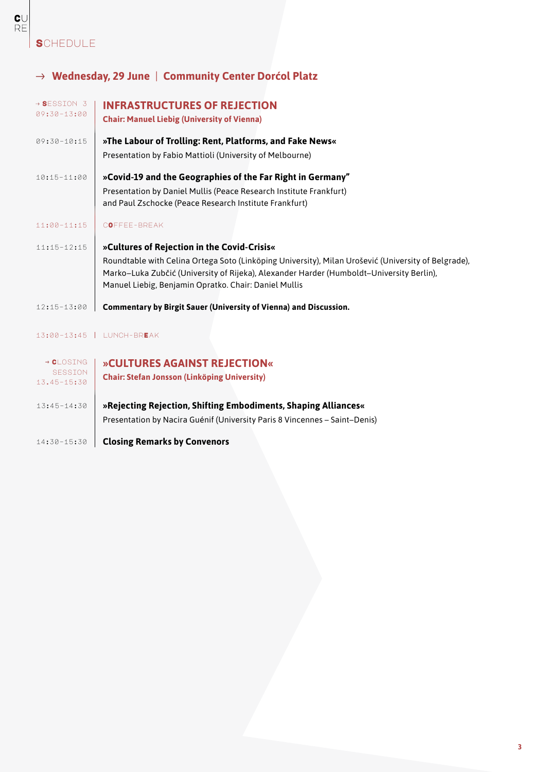### **S**CHEDULE

## **Wednesday, 29 June** | **Community Center Dorćol Platz**

| → SESSION 3<br>09:30-13:00    | <b>INFRASTRUCTURES OF REJECTION</b><br><b>Chair: Manuel Liebig (University of Vienna)</b>                                                                                                                                                                |
|-------------------------------|----------------------------------------------------------------------------------------------------------------------------------------------------------------------------------------------------------------------------------------------------------|
| $09:30 - 10:15$               | »The Labour of Trolling: Rent, Platforms, and Fake News«                                                                                                                                                                                                 |
|                               | Presentation by Fabio Mattioli (University of Melbourne)                                                                                                                                                                                                 |
| 10:15-11:00                   | »Covid-19 and the Geographies of the Far Right in Germany"                                                                                                                                                                                               |
|                               | Presentation by Daniel Mullis (Peace Research Institute Frankfurt)<br>and Paul Zschocke (Peace Research Institute Frankfurt)                                                                                                                             |
| 11:00-11:15                   | COFFEE-BREAK                                                                                                                                                                                                                                             |
| $11:15 - 12:15$               | »Cultures of Rejection in the Covid-Crisis«                                                                                                                                                                                                              |
|                               | Roundtable with Celina Ortega Soto (Linköping University), Milan Urošević (University of Belgrade),<br>Marko-Luka Zubčić (University of Rijeka), Alexander Harder (Humboldt-University Berlin),<br>Manuel Liebig, Benjamin Opratko. Chair: Daniel Mullis |
| 12:15-13:00                   | Commentary by Birgit Sauer (University of Vienna) and Discussion.                                                                                                                                                                                        |
|                               | 13:00-13:45   LUNCH-BREAK                                                                                                                                                                                                                                |
| $\rightarrow$ CLOSING         | » CULTURES AGAINST REJECTION«                                                                                                                                                                                                                            |
| <b>SESSION</b><br>13.45-15:30 | <b>Chair: Stefan Jonsson (Linköping University)</b>                                                                                                                                                                                                      |
| 13:45-14:30                   | »Rejecting Rejection, Shifting Embodiments, Shaping Alliances«                                                                                                                                                                                           |
|                               | Presentation by Nacira Guénif (University Paris 8 Vincennes - Saint-Denis)                                                                                                                                                                               |
| 14:30-15:30                   | <b>Closing Remarks by Convenors</b>                                                                                                                                                                                                                      |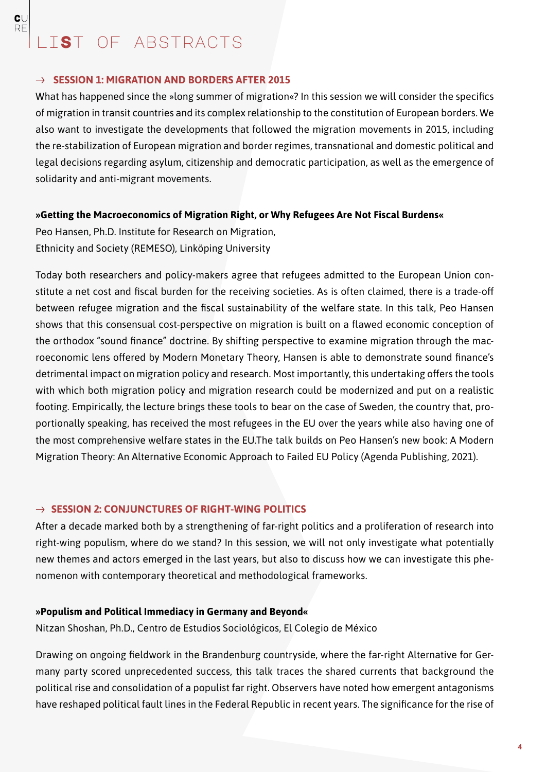$\mathbf{C} \cup$ RF

#### $\rightarrow$  SESSION 1: MIGRATION AND BORDERS AFTER 2015

What has happened since the »long summer of migration«? In this session we will consider the specifics of migration in transit countries and its complex relationship to the constitution of European borders. We also want to investigate the developments that followed the migration movements in 2015, including the re-stabilization of European migration and border regimes, transnational and domestic political and legal decisions regarding asylum, citizenship and democratic participation, as well as the emergence of solidarity and anti-migrant movements.

#### **»Getting the Macroeconomics of Migration Right, or Why Refugees Are Not Fiscal Burdens«**

Peo Hansen, Ph.D. Institute for Research on Migration, Ethnicity and Society (REMESO), Linköping University

Today both researchers and policy-makers agree that refugees admitted to the European Union constitute a net cost and fiscal burden for the receiving societies. As is often claimed, there is a trade-off between refugee migration and the fiscal sustainability of the welfare state. In this talk, Peo Hansen shows that this consensual cost-perspective on migration is built on a flawed economic conception of the orthodox "sound finance" doctrine. By shifting perspective to examine migration through the macroeconomic lens offered by Modern Monetary Theory, Hansen is able to demonstrate sound finance's detrimental impact on migration policy and research. Most importantly, this undertaking offers the tools with which both migration policy and migration research could be modernized and put on a realistic footing. Empirically, the lecture brings these tools to bear on the case of Sweden, the country that, proportionally speaking, has received the most refugees in the EU over the years while also having one of the most comprehensive welfare states in the EU.The talk builds on Peo Hansen's new book: A Modern Migration Theory: An Alternative Economic Approach to Failed EU Policy (Agenda Publishing, 2021).

#### → **SESSION 2: CONJUNCTURES OF RIGHT-WING POLITICS**

After a decade marked both by a strengthening of far-right politics and a proliferation of research into right-wing populism, where do we stand? In this session, we will not only investigate what potentially new themes and actors emerged in the last years, but also to discuss how we can investigate this phenomenon with contemporary theoretical and methodological frameworks.

#### **»Populism and Political Immediacy in Germany and Beyond«**

Nitzan Shoshan, Ph.D., Centro de Estudios Sociológicos, El Colegio de México

Drawing on ongoing fieldwork in the Brandenburg countryside, where the far-right Alternative for Germany party scored unprecedented success, this talk traces the shared currents that background the political rise and consolidation of a populist far right. Observers have noted how emergent antagonisms have reshaped political fault lines in the Federal Republic in recent years. The significance for the rise of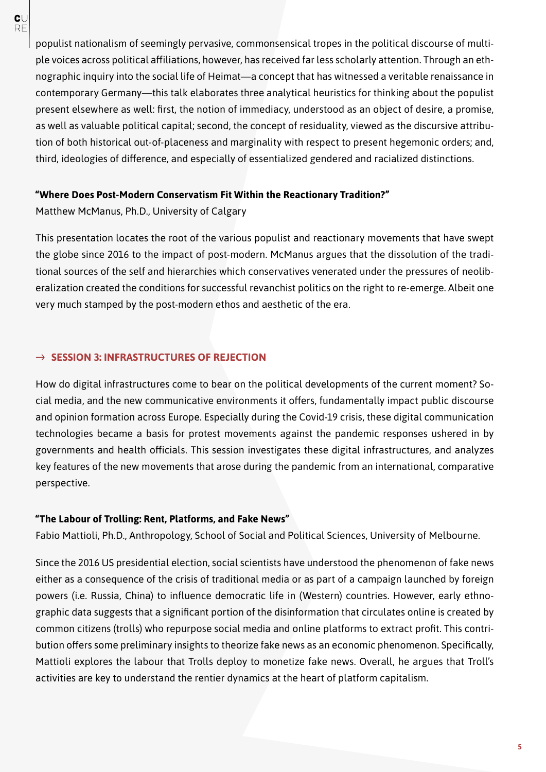populist nationalism of seemingly pervasive, commonsensical tropes in the political discourse of multiple voices across political affiliations, however, has received far less scholarly attention. Through an ethnographic inquiry into the social life of Heimat—a concept that has witnessed a veritable renaissance in contemporary Germany—this talk elaborates three analytical heuristics for thinking about the populist present elsewhere as well: first, the notion of immediacy, understood as an object of desire, a promise, as well as valuable political capital; second, the concept of residuality, viewed as the discursive attribution of both historical out-of-placeness and marginality with respect to present hegemonic orders; and, third, ideologies of difference, and especially of essentialized gendered and racialized distinctions.

#### **"Where Does Post-Modern Conservatism Fit Within the Reactionary Tradition?"**

Matthew McManus, Ph.D., University of Calgary

This presentation locates the root of the various populist and reactionary movements that have swept the globe since 2016 to the impact of post-modern. McManus argues that the dissolution of the traditional sources of the self and hierarchies which conservatives venerated under the pressures of neoliberalization created the conditions for successful revanchist politics on the right to re-emerge. Albeit one very much stamped by the post-modern ethos and aesthetic of the era.

#### $\rightarrow$  **SESSION 3: INFRASTRUCTURES OF REJECTION**

How do digital infrastructures come to bear on the political developments of the current moment? Social media, and the new communicative environments it offers, fundamentally impact public discourse and opinion formation across Europe. Especially during the Covid-19 crisis, these digital communication technologies became a basis for protest movements against the pandemic responses ushered in by governments and health officials. This session investigates these digital infrastructures, and analyzes key features of the new movements that arose during the pandemic from an international, comparative perspective.

#### **"The Labour of Trolling: Rent, Platforms, and Fake News"**

Fabio Mattioli, Ph.D., Anthropology, School of Social and Political Sciences, University of Melbourne.

Since the 2016 US presidential election, social scientists have understood the phenomenon of fake news either as a consequence of the crisis of traditional media or as part of a campaign launched by foreign powers (i.e. Russia, China) to influence democratic life in (Western) countries. However, early ethnographic data suggests that a significant portion of the disinformation that circulates online is created by common citizens (trolls) who repurpose social media and online platforms to extract profit. This contribution offers some preliminary insights to theorize fake news as an economic phenomenon. Specifically, Mattioli explores the labour that Trolls deploy to monetize fake news. Overall, he argues that Troll's activities are key to understand the rentier dynamics at the heart of platform capitalism.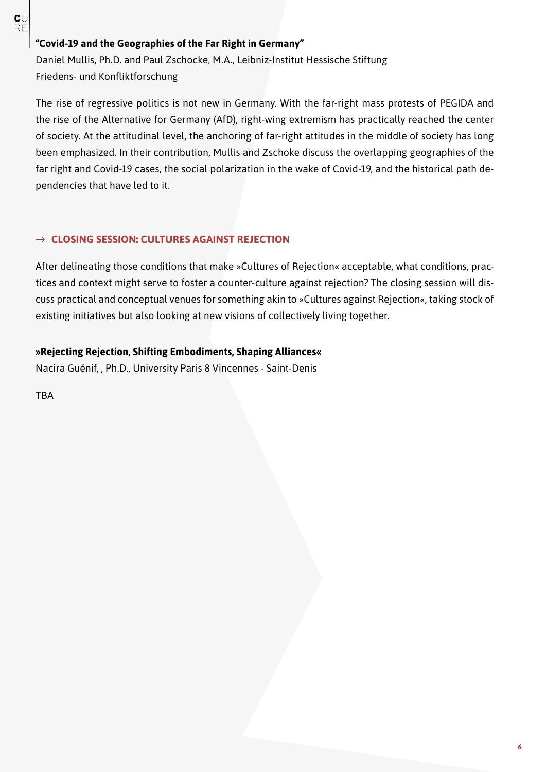#### $\mathbf{C}\cup$ **RF**

### **"Covid-19 and the Geographies of the Far Right in Germany"**

Daniel Mullis, Ph.D. and Paul Zschocke, M.A., Leibniz-Institut Hessische Stiftung Friedens- und Konfliktforschung

The rise of regressive politics is not new in Germany. With the far-right mass protests of PEGIDA and the rise of the Alternative for Germany (AfD), right-wing extremism has practically reached the center of society. At the attitudinal level, the anchoring of far-right attitudes in the middle of society has long been emphasized. In their contribution, Mullis and Zschoke discuss the overlapping geographies of the far right and Covid-19 cases, the social polarization in the wake of Covid-19, and the historical path dependencies that have led to it.

#### **CLOSING SESSION: CULTURES AGAINST REJECTION**

After delineating those conditions that make »Cultures of Rejection« acceptable, what conditions, practices and context might serve to foster a counter-culture against rejection? The closing session will discuss practical and conceptual venues for something akin to »Cultures against Rejection«, taking stock of existing initiatives but also looking at new visions of collectively living together.

### **»Rejecting Rejection, Shifting Embodiments, Shaping Alliances«**

Nacira Guénif, , Ph.D., University Paris 8 Vincennes - Saint-Denis

TBA